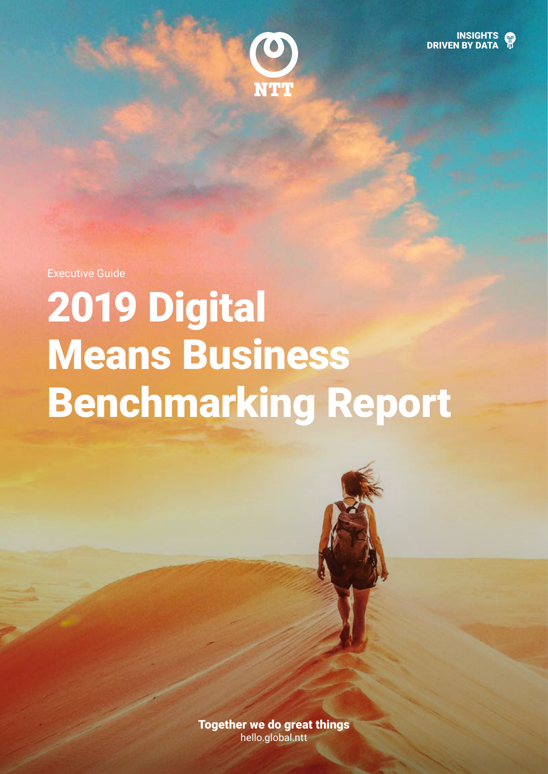



Executive Guide

# 2019 Digital Means Business Benchmarking Report



Together we do great things [hello.global.ntt](https://www.hello.global.ntt/en-us/insights/digital-means-business-report/)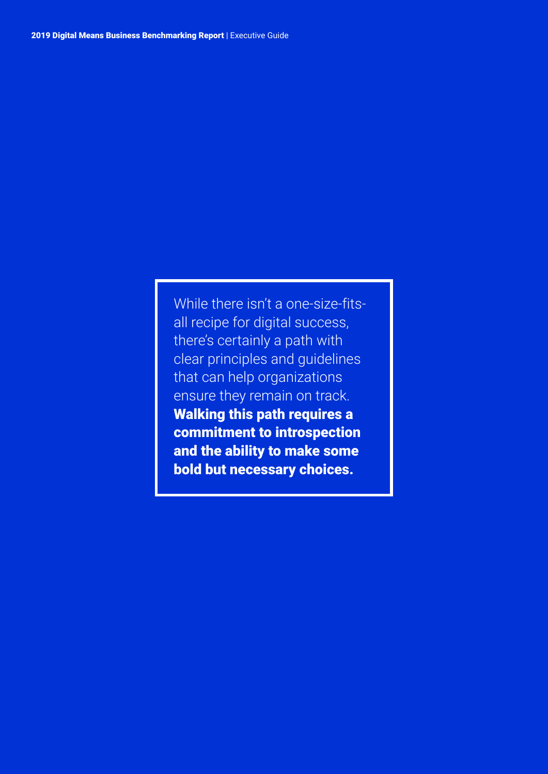While there isn't a one-size-fitsall recipe for digital success, there's certainly a path with clear principles and guidelines that can help organizations ensure they remain on track. Walking this path requires a commitment to introspection and the ability to make some bold but necessary choices.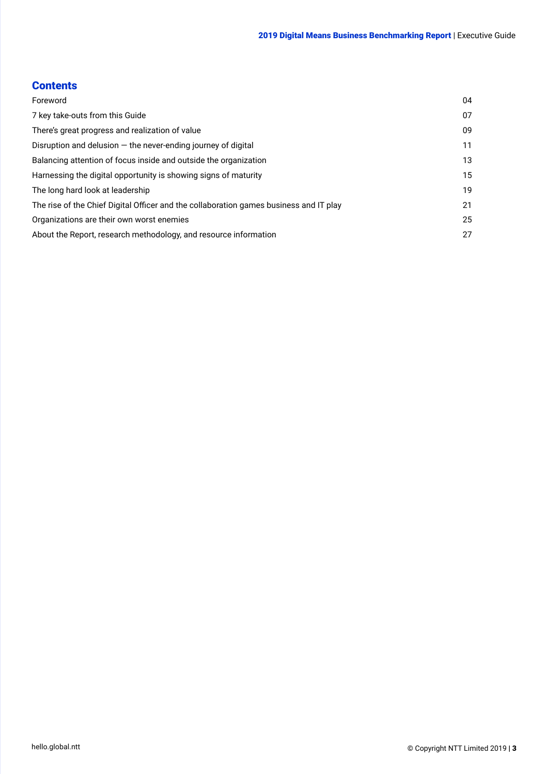### **Contents**

| Foreword                                                                               | 04 |  |
|----------------------------------------------------------------------------------------|----|--|
| 7 key take-outs from this Guide                                                        | 07 |  |
| There's great progress and realization of value                                        | 09 |  |
| Disruption and delusion $-$ the never-ending journey of digital                        | 11 |  |
| Balancing attention of focus inside and outside the organization                       | 13 |  |
| Harnessing the digital opportunity is showing signs of maturity                        | 15 |  |
| The long hard look at leadership                                                       | 19 |  |
| The rise of the Chief Digital Officer and the collaboration games business and IT play | 21 |  |
| Organizations are their own worst enemies                                              |    |  |
| About the Report, research methodology, and resource information                       | 27 |  |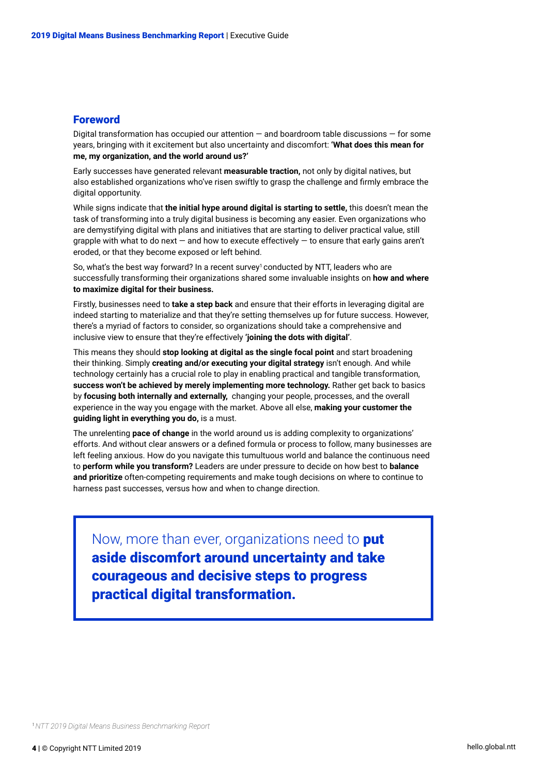#### <span id="page-3-0"></span>**Foreword**

Digital transformation has occupied our attention  $-$  and boardroom table discussions  $-$  for some years, bringing with it excitement but also uncertainty and discomfort: **'What does this mean for me, my organization, and the world around us?'**

Early successes have generated relevant **measurable traction,** not only by digital natives, but also established organizations who've risen swiftly to grasp the challenge and firmly embrace the digital opportunity.

While signs indicate that **the initial hype around digital is starting to settle,** this doesn't mean the task of transforming into a truly digital business is becoming any easier. Even organizations who are demystifying digital with plans and initiatives that are starting to deliver practical value, still grapple with what to do next — and how to execute effectively — to ensure that early gains aren't eroded, or that they become exposed or left behind.

So, what's the best way forward? In a recent survey $1$  conducted by NTT, leaders who are successfully transforming their organizations shared some invaluable insights on **how and where to maximize digital for their business.**

Firstly, businesses need to **take a step back** and ensure that their efforts in leveraging digital are indeed starting to materialize and that they're setting themselves up for future success. However, there's a myriad of factors to consider, so organizations should take a comprehensive and inclusive view to ensure that they're effectively **'joining the dots with digital'**.

This means they should **stop looking at digital as the single focal point** and start broadening their thinking. Simply **creating and/or executing your digital strategy** isn't enough. And while technology certainly has a crucial role to play in enabling practical and tangible transformation, **success won't be achieved by merely implementing more technology.** Rather get back to basics by **focusing both internally and externally,** changing your people, processes, and the overall experience in the way you engage with the market. Above all else, **making your customer the guiding light in everything you do,** is a must.

The unrelenting **pace of change** in the world around us is adding complexity to organizations' efforts. And without clear answers or a defined formula or process to follow, many businesses are left feeling anxious. How do you navigate this tumultuous world and balance the continuous need to **perform while you transform?** Leaders are under pressure to decide on how best to **balance and prioritize** often-competing requirements and make tough decisions on where to continue to harness past successes, versus how and when to change direction.

Now, more than ever, organizations need to **put** aside discomfort around uncertainty and take courageous and decisive steps to progress practical digital transformation.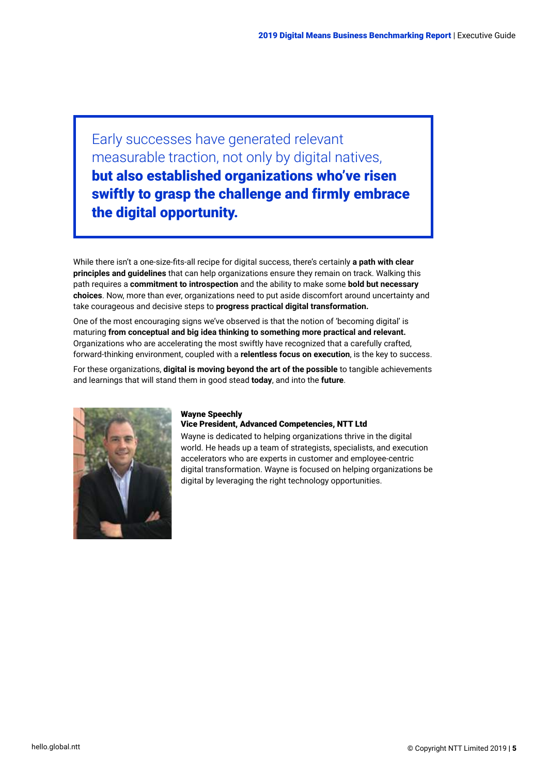Early successes have generated relevant measurable traction, not only by digital natives, but also established organizations who've risen swiftly to grasp the challenge and firmly embrace the digital opportunity.

While there isn't a one-size-fits-all recipe for digital success, there's certainly **a path with clear principles and guidelines** that can help organizations ensure they remain on track. Walking this path requires a **commitment to introspection** and the ability to make some **bold but necessary choices**. Now, more than ever, organizations need to put aside discomfort around uncertainty and take courageous and decisive steps to **progress practical digital transformation.**

One of the most encouraging signs we've observed is that the notion of 'becoming digital' is maturing **from conceptual and big idea thinking to something more practical and relevant.** Organizations who are accelerating the most swiftly have recognized that a carefully crafted, forward-thinking environment, coupled with a **relentless focus on execution**, is the key to success.

For these organizations, **digital is moving beyond the art of the possible** to tangible achievements and learnings that will stand them in good stead **today**, and into the **future**.



#### Wayne Speechly

#### Vice President, Advanced Competencies, NTT Ltd

Wayne is dedicated to helping organizations thrive in the digital world. He heads up a team of strategists, specialists, and execution accelerators who are experts in customer and employee-centric digital transformation. Wayne is focused on helping organizations be digital by leveraging the right technology opportunities.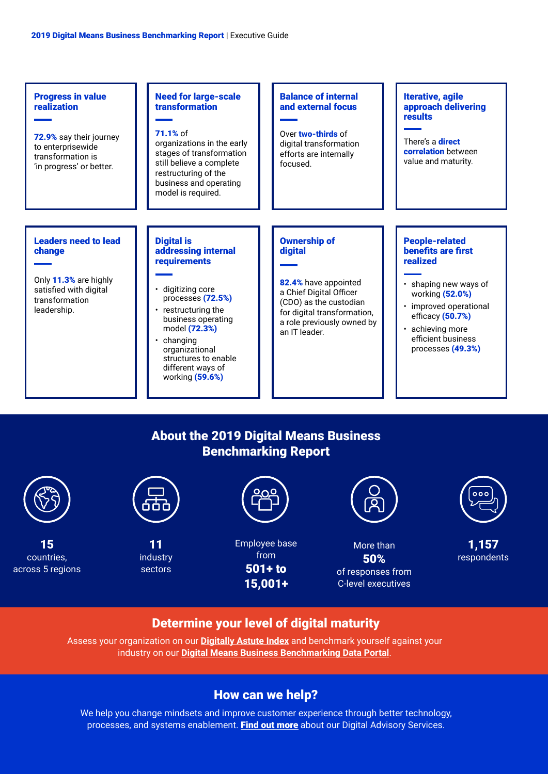

## About the [2019 Digital Means Business](https://www.hello.global.ntt/en-us/insights/digital-means-business-report/)  [Benchmarking Report](https://www.hello.global.ntt/en-us/insights/digital-means-business-report/)



## Determine your level of digital maturity

Assess your organization on our **[Digitally Astute Index](https://communication.hello.global.ntt/LP=1577)** and benchmark yourself against your industry on our **[Digital Means Business Benchmarking Data Portal](https://hello-global-ntt.insightnow.co.uk/2019/DMBportal/?trg=EXEC)**.

## How can we help?

We help you change mindsets and improve customer experience through better technology, processes, and systems enablement. [Find out more](https://hello.global.ntt/en-us/products-and-services/consulting-services/business-advisory-services) about our Digital Advisory Services.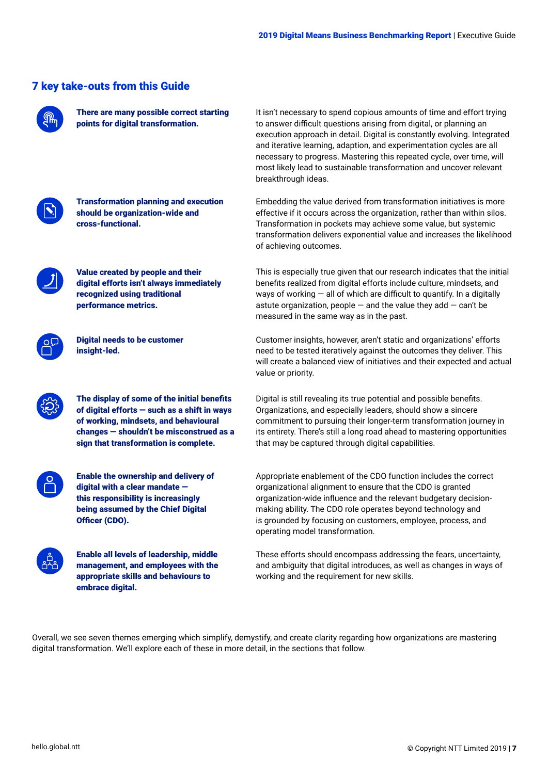|                                                                                                                                                                                                                                   | There are many possible correct starting<br>points for digital transformation.                                                                                                                                            | It isn't necessary to spend copious amounts of time and effort trying<br>to answer difficult questions arising from digital, or planning an<br>execution approach in detail. Digital is constantly evolving. Integrated<br>and iterative learning, adaption, and experimentation cycles are all<br>necessary to progress. Mastering this repeated cycle, over time, will<br>most likely lead to sustainable transformation and uncover relevant<br>breakthrough ideas. |  |  |
|-----------------------------------------------------------------------------------------------------------------------------------------------------------------------------------------------------------------------------------|---------------------------------------------------------------------------------------------------------------------------------------------------------------------------------------------------------------------------|------------------------------------------------------------------------------------------------------------------------------------------------------------------------------------------------------------------------------------------------------------------------------------------------------------------------------------------------------------------------------------------------------------------------------------------------------------------------|--|--|
|                                                                                                                                                                                                                                   | <b>Transformation planning and execution</b><br>should be organization-wide and<br>cross-functional.                                                                                                                      | Embedding the value derived from transformation initiatives is more<br>effective if it occurs across the organization, rather than within silos.<br>Transformation in pockets may achieve some value, but systemic<br>transformation delivers exponential value and increases the likelihood<br>of achieving outcomes.                                                                                                                                                 |  |  |
|                                                                                                                                                                                                                                   | Value created by people and their<br>digital efforts isn't always immediately<br>recognized using traditional<br>performance metrics.                                                                                     | This is especially true given that our research indicates that the initial<br>benefits realized from digital efforts include culture, mindsets, and<br>ways of working $-$ all of which are difficult to quantify. In a digitally<br>astute organization, people $-$ and the value they add $-$ can't be<br>measured in the same way as in the past.                                                                                                                   |  |  |
|                                                                                                                                                                                                                                   | <b>Digital needs to be customer</b><br>insight-led.                                                                                                                                                                       | Customer insights, however, aren't static and organizations' efforts<br>need to be tested iteratively against the outcomes they deliver. This<br>will create a balanced view of initiatives and their expected and actual<br>value or priority.                                                                                                                                                                                                                        |  |  |
|                                                                                                                                                                                                                                   | The display of some of the initial benefits<br>of digital efforts - such as a shift in ways<br>of working, mindsets, and behavioural<br>changes - shouldn't be misconstrued as a<br>sign that transformation is complete. | Digital is still revealing its true potential and possible benefits.<br>Organizations, and especially leaders, should show a sincere<br>commitment to pursuing their longer-term transformation journey in<br>its entirety. There's still a long road ahead to mastering opportunities<br>that may be captured through digital capabilities.                                                                                                                           |  |  |
|                                                                                                                                                                                                                                   | <b>Enable the ownership and delivery of</b><br>digital with a clear mandate -<br>this responsibility is increasingly<br>being assumed by the Chief Digital<br>Officer (CDO).                                              | Appropriate enablement of the CDO function includes the correct<br>organizational alignment to ensure that the CDO is granted<br>organization-wide influence and the relevant budgetary decision-<br>making ability. The CDO role operates beyond technology and<br>is grounded by focusing on customers, employee, process, and<br>operating model transformation.                                                                                                    |  |  |
|                                                                                                                                                                                                                                   | <b>Enable all levels of leadership, middle</b><br>management, and employees with the<br>appropriate skills and behaviours to<br>embrace digital.                                                                          | These efforts should encompass addressing the fears, uncertainty,<br>and ambiguity that digital introduces, as well as changes in ways of<br>working and the requirement for new skills.                                                                                                                                                                                                                                                                               |  |  |
| Overall, we see seven themes emerging which simplify, demystify, and create clarity regarding how organizations are mastering<br>digital transformation. We'll explore each of these in more detail, in the sections that follow. |                                                                                                                                                                                                                           |                                                                                                                                                                                                                                                                                                                                                                                                                                                                        |  |  |

## <span id="page-6-0"></span>7 key take-outs from this Guide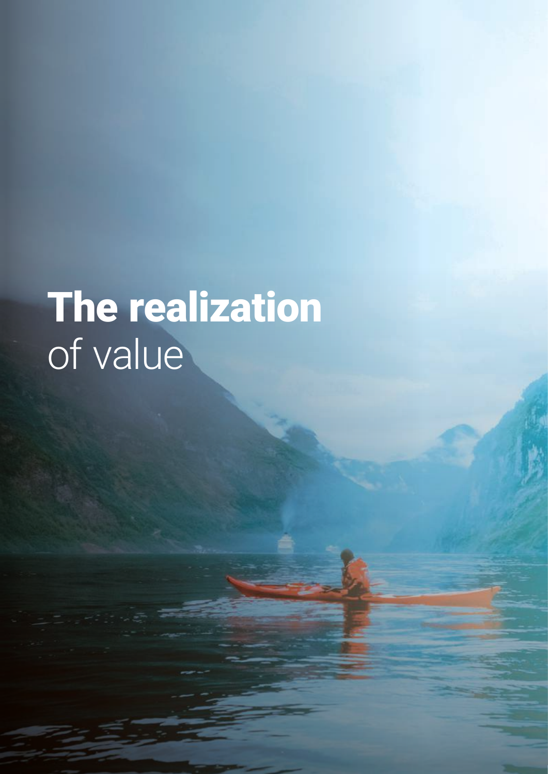# The realization of value

8 | © Copyright NTT Limited 2019 [hello.global.ntt](https://www.hello.global.ntt/en-us/insights/digital-means-business-report/)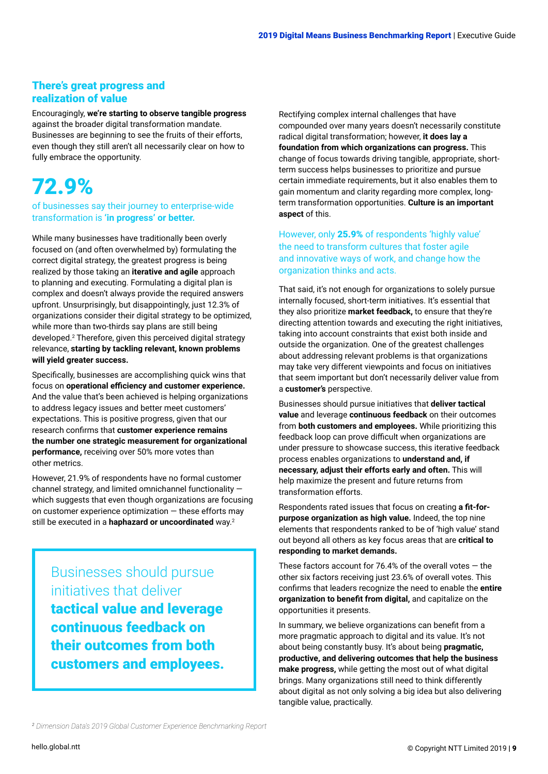### <span id="page-8-0"></span>There's great progress and realization of value

Encouragingly, **we're starting to observe tangible progress** against the broader digital transformation mandate. Businesses are beginning to see the fruits of their efforts, even though they still aren't all necessarily clear on how to fully embrace the opportunity.

# 72.9%

#### of businesses say their journey to enterprise-wide transformation is **'in progress' or better.**

While many businesses have traditionally been overly focused on (and often overwhelmed by) formulating the correct digital strategy, the greatest progress is being realized by those taking an **iterative and agile** approach to planning and executing. Formulating a digital plan is complex and doesn't always provide the required answers upfront. Unsurprisingly, but disappointingly, just 12.3% of organizations consider their digital strategy to be optimized, while more than two-thirds say plans are still being developed.2 Therefore, given this perceived digital strategy relevance, **starting by tackling relevant, known problems will yield greater success.**

Specifically, businesses are accomplishing quick wins that focus on **operational efficiency and customer experience.** And the value that's been achieved is helping organizations to address legacy issues and better meet customers' expectations. This is positive progress, given that our research confirms that **customer experience remains the number one strategic measurement for organizational performance,** receiving over 50% more votes than other metrics.

However, 21.9% of respondents have no formal customer channel strategy, and limited omnichannel functionality which suggests that even though organizations are focusing on customer experience optimization  $-$  these efforts may still be executed in a **haphazard or uncoordinated** way.2

## Businesses should pursue initiatives that deliver

tactical value and leverage continuous feedback on their outcomes from both customers and employees.

Rectifying complex internal challenges that have compounded over many years doesn't necessarily constitute radical digital transformation; however, **it does lay a foundation from which organizations can progress.** This change of focus towards driving tangible, appropriate, shortterm success helps businesses to prioritize and pursue certain immediate requirements, but it also enables them to gain momentum and clarity regarding more complex, longterm transformation opportunities. **Culture is an important aspect** of this.

#### However, only 25.9% of respondents 'highly value' the need to transform cultures that foster agile and innovative ways of work, and change how the organization thinks and acts.

That said, it's not enough for organizations to solely pursue internally focused, short-term initiatives. It's essential that they also prioritize **market feedback,** to ensure that they're directing attention towards and executing the right initiatives, taking into account constraints that exist both inside and outside the organization. One of the greatest challenges about addressing relevant problems is that organizations may take very different viewpoints and focus on initiatives that seem important but don't necessarily deliver value from a **customer's** perspective.

Businesses should pursue initiatives that **deliver tactical value** and leverage **continuous feedback** on their outcomes from **both customers and employees.** While prioritizing this feedback loop can prove difficult when organizations are under pressure to showcase success, this iterative feedback process enables organizations to **understand and, if necessary, adjust their efforts early and often.** This will help maximize the present and future returns from transformation efforts.

Respondents rated issues that focus on creating **a fit-forpurpose organization as high value.** Indeed, the top nine elements that respondents ranked to be of 'high value' stand out beyond all others as key focus areas that are **critical to responding to market demands.**

These factors account for 76.4% of the overall votes  $-$  the other six factors receiving just 23.6% of overall votes. This confirms that leaders recognize the need to enable the **entire organization to benefit from digital,** and capitalize on the opportunities it presents.

In summary, we believe organizations can benefit from a more pragmatic approach to digital and its value. It's not about being constantly busy. It's about being **pragmatic, productive, and delivering outcomes that help the business make progress,** while getting the most out of what digital brings. Many organizations still need to think differently about digital as not only solving a big idea but also delivering tangible value, practically.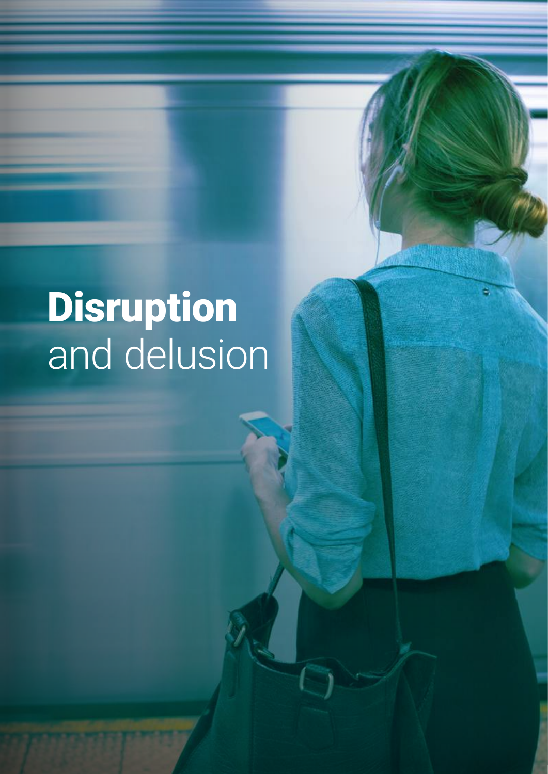# Disruption and delusion

2019 Digital Means Business Benchmarking Report | Executive Guide

10 | Copyright NTT Limited 2019 [hello.global.ntt](https://www.hello.global.ntt/en-us/insights/digital-means-business-report/)p://www.com/copyright.com/copyright NTT Limited 2019 hello.glo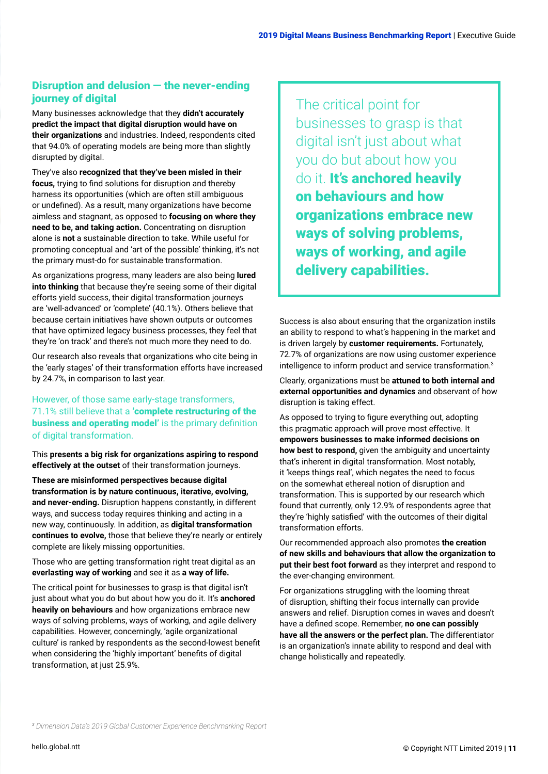### <span id="page-10-0"></span>Disruption and delusion — the never-ending journey of digital

Many businesses acknowledge that they **didn't accurately predict the impact that digital disruption would have on their organizations** and industries. Indeed, respondents cited that 94.0% of operating models are being more than slightly disrupted by digital.

They've also **recognized that they've been misled in their focus,** trying to find solutions for disruption and thereby harness its opportunities (which are often still ambiguous or undefined). As a result, many organizations have become aimless and stagnant, as opposed to **focusing on where they need to be, and taking action.** Concentrating on disruption alone is **not** a sustainable direction to take. While useful for promoting conceptual and 'art of the possible' thinking, it's not the primary must-do for sustainable transformation.

As organizations progress, many leaders are also being **lured into thinking** that because they're seeing some of their digital efforts yield success, their digital transformation journeys are 'well-advanced' or 'complete' (40.1%). Others believe that because certain initiatives have shown outputs or outcomes that have optimized legacy business processes, they feel that they're 'on track' and there's not much more they need to do.

Our research also reveals that organizations who cite being in the 'early stages' of their transformation efforts have increased by 24.7%, in comparison to last year.

#### However, of those same early-stage transformers, 71.1% still believe that a 'complete restructuring of the business and operating model' is the primary definition of digital transformation.

This **presents a big risk for organizations aspiring to respond effectively at the outset** of their transformation journeys.

**These are misinformed perspectives because digital transformation is by nature continuous, iterative, evolving, and never-ending.** Disruption happens constantly, in different ways, and success today requires thinking and acting in a new way, continuously. In addition, as **digital transformation continues to evolve,** those that believe they're nearly or entirely complete are likely missing opportunities.

Those who are getting transformation right treat digital as an **everlasting way of working** and see it as **a way of life.** 

The critical point for businesses to grasp is that digital isn't just about what you do but about how you do it. It's **anchored heavily on behaviours** and how organizations embrace new ways of solving problems, ways of working, and agile delivery capabilities. However, concerningly, 'agile organizational culture' is ranked by respondents as the second-lowest benefit when considering the 'highly important' benefits of digital transformation, at just 25.9%.

The critical point for businesses to grasp is that digital isn't just about what you do but about how you do it. It's anchored heavily on behaviours and how organizations embrace new ways of solving problems, ways of working, and agile delivery capabilities.

Success is also about ensuring that the organization instils an ability to respond to what's happening in the market and is driven largely by **customer requirements.** Fortunately, 72.7% of organizations are now using customer experience intelligence to inform product and service transformation.3

Clearly, organizations must be **attuned to both internal and external opportunities and dynamics** and observant of how disruption is taking effect.

As opposed to trying to figure everything out, adopting this pragmatic approach will prove most effective. It **empowers businesses to make informed decisions on how best to respond,** given the ambiguity and uncertainty that's inherent in digital transformation. Most notably, it 'keeps things real', which negates the need to focus on the somewhat ethereal notion of disruption and transformation. This is supported by our research which found that currently, only 12.9% of respondents agree that they're 'highly satisfied' with the outcomes of their digital transformation efforts.

Our recommended approach also promotes **the creation of new skills and behaviours that allow the organization to put their best foot forward** as they interpret and respond to the ever-changing environment.

For organizations struggling with the looming threat of disruption, shifting their focus internally can provide answers and relief. Disruption comes in waves and doesn't have a defined scope. Remember, **no one can possibly have all the answers or the perfect plan.** The differentiator is an organization's innate ability to respond and deal with change holistically and repeatedly.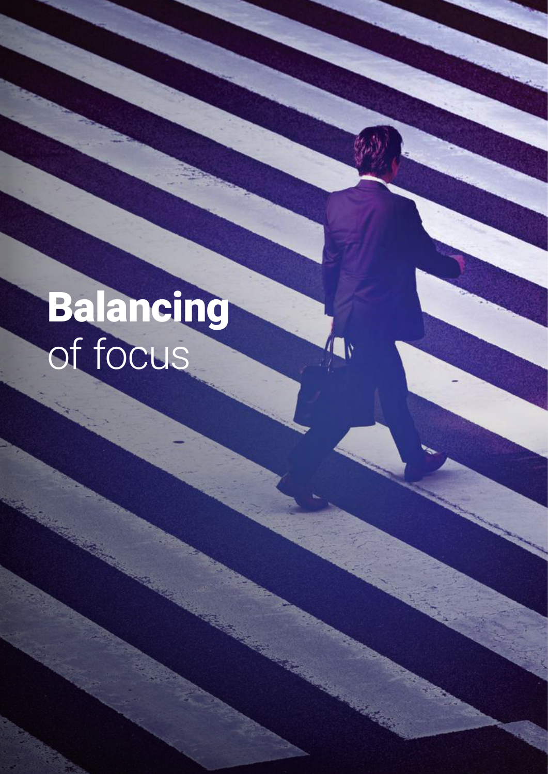# Balancing of focus

2019 Digital Means Business Benchmarking Report | Executive Guide

12 | Copyright NTT Limited 2019 [hello.global.ntt](https://www.hello.global.ntt/en-us/insights/digital-means-business-report/)p://www.com/copyright/and/organization/copyright/and/organization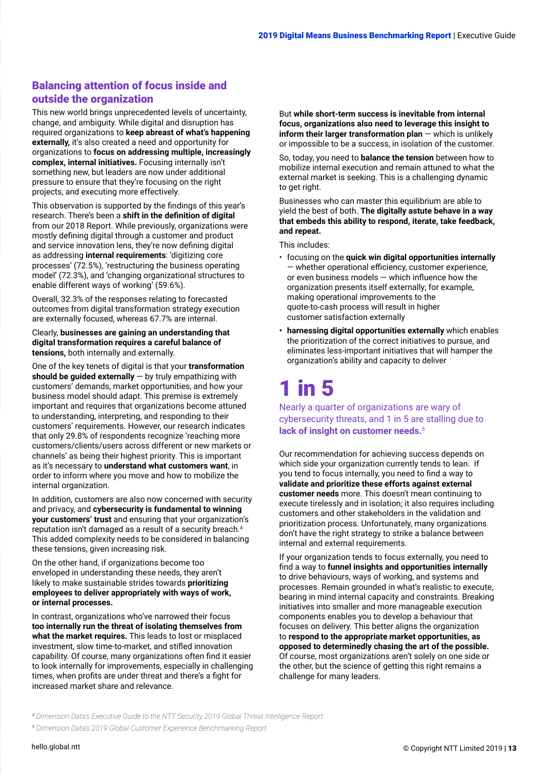### <span id="page-12-0"></span>Balancing attention of focus inside and outside the organization

This new world brings unprecedented levels of uncertainty, change, and ambiguity. While digital and disruption has required organizations to **keep abreast of what's happening externally,** it's also created a need and opportunity for organizations to **focus on addressing multiple, increasingly complex, internal initiatives.** Focusing internally isn't something new, but leaders are now under additional pressure to ensure that they're focusing on the right projects, and executing more effectively.

This observation is supported by the findings of this year's research. There's been a **shift in the definition of digital** from our 2018 Report. While previously, organizations were mostly defining digital through a customer and product and service innovation lens, they're now defining digital as addressing **internal requirements**: 'digitizing core processes' (72.5%), 'restructuring the business operating model' (72.3%), and 'changing organizational structures to enable different ways of working' (59.6%).

Overall, 32.3% of the responses relating to forecasted outcomes from digital transformation strategy execution are externally focused, whereas 67.7% are internal.

#### Clearly, **businesses are gaining an understanding that digital transformation requires a careful balance of tensions,** both internally and externally.

One of the key tenets of digital is that your **transformation should be guided externally** — by truly empathizing with customers' demands, market opportunities, and how your business model should adapt. This premise is extremely important and requires that organizations become attuned to understanding, interpreting, and responding to their customers' requirements. However, our research indicates that only 29.8% of respondents recognize 'reaching more customers/clients/users across different or new markets or channels' as being their highest priority. This is important as it's necessary to **understand what customers want**, in order to inform where you move and how to mobilize the internal organization.

In addition, customers are also now concerned with security and privacy, and **cybersecurity is fundamental to winning your customers' trust** and ensuring that your organization's reputation isn't damaged as a result of a security breach.4 This added complexity needs to be considered in balancing these tensions, given increasing risk.

On the other hand, if organizations become too enveloped in understanding these needs, they aren't likely to make sustainable strides towards **prioritizing employees to deliver appropriately with ways of work, or internal processes.** 

In contrast, organizations who've narrowed their focus **too internally run the threat of isolating themselves from what the market requires.** This leads to lost or misplaced investment, slow time-to-market, and stifled innovation capability. Of course, many organizations often find it easier to look internally for improvements, especially in challenging times, when profits are under threat and there's a fight for increased market share and relevance.

But **while short-term success is inevitable from internal focus, organizations also need to leverage this insight to inform their larger transformation plan** — which is unlikely or impossible to be a success, in isolation of the customer.

So, today, you need to **balance the tension** between how to mobilize internal execution and remain attuned to what the external market is seeking. This is a challenging dynamic to get right.

Businesses who can master this equilibrium are able to yield the best of both. **The digitally astute behave in a way that embeds this ability to respond, iterate, take feedback, and repeat.**

This includes:

- focusing on the **quick win digital opportunities internally** — whether operational efficiency, customer experience, or even business models — which influence how the organization presents itself externally; for example, making operational improvements to the quote-to-cash process will result in higher customer satisfaction externally
- **• harnessing digital opportunities externally** which enables the prioritization of the correct initiatives to pursue, and eliminates less-important initiatives that will hamper the organization's ability and capacity to deliver

# 1 in 5

Nearly a quarter of organizations are wary of cybersecurity threats, and 1 in 5 are stalling due to **lack of insight on customer needs.**<sup>5</sup>

Our recommendation for achieving success depends on which side your organization currently tends to lean. If you tend to focus internally, you need to find a way to **validate and prioritize these efforts against external customer needs** more. This doesn't mean continuing to execute tirelessly and in isolation; it also requires including customers and other stakeholders in the validation and prioritization process. Unfortunately, many organizations don't have the right strategy to strike a balance between internal and external requirements.

If your organization tends to focus externally, you need to find a way to **funnel insights and opportunities internally** to drive behaviours, ways of working, and systems and processes. Remain grounded in what's realistic to execute, bearing in mind internal capacity and constraints. Breaking initiatives into smaller and more manageable execution components enables you to develop a behaviour that focuses on delivery. This better aligns the organization to **respond to the appropriate market opportunities, as opposed to determinedly chasing the art of the possible.**  Of course, most organizations aren't solely on one side or the other, but the science of getting this right remains a challenge for many leaders.

*4  [Dimension Data's Executive Guide to the NTT Security 2019 Global Threat Intelligence Report](https://www.dimensiondata.com/en/insights/gtir2019)*

*<sup>5</sup> [Dimension Data's 2019 Global Customer Experience Benchmarking Report](https://www.dimensiondata.com/en/insights/customer-experience-benchmarking-report-2019)*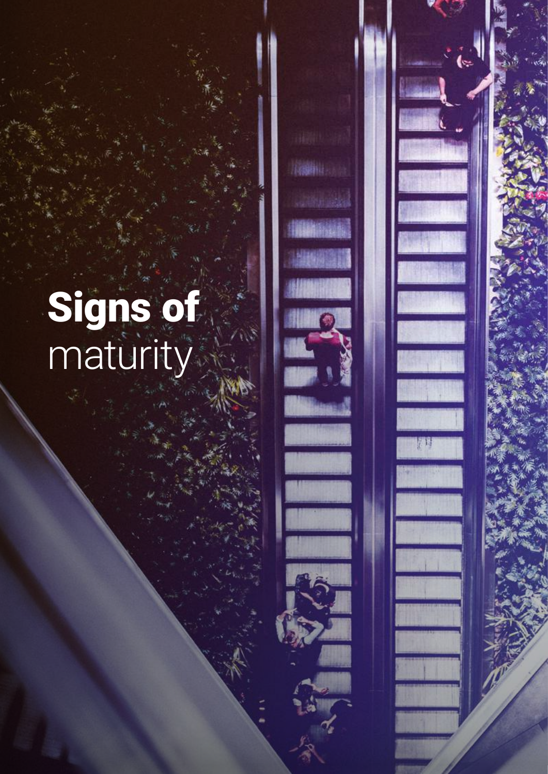# Signs of maturity

2019 Digital Means Business Benchmarking Report | Executive Guide

 $14 \times 10^{-10}$  and  $16 \times 10^{-10}$  [hello.global.ntt](https://www.hello.global.ntt/en-us/insights/digital-means-business-report/)ps://www.com/sizer.nttps://www.com/sizer.nttps://www.com/sizer.nttps://www.com/sizer.nttps://www.com/sizer.nttps://www.com/sizer.nttps://www.com/sizer.nttps://www.com/sizer.

**TABLE**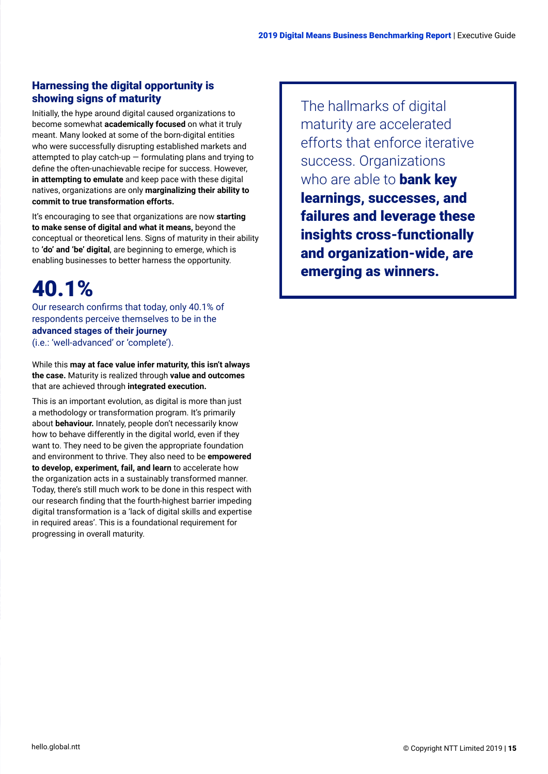### <span id="page-14-0"></span>Harnessing the digital opportunity is showing signs of maturity

Initially, the hype around digital caused organizations to become somewhat **academically focused** on what it truly meant. Many looked at some of the born-digital entities who were successfully disrupting established markets and attempted to play catch-up  $-$  formulating plans and trying to define the often-unachievable recipe for success. However, **in attempting to emulate** and keep pace with these digital natives, organizations are only **marginalizing their ability to commit to true transformation efforts.**

It's encouraging to see that organizations are now **starting to make sense of digital and what it means,** beyond the conceptual or theoretical lens. Signs of maturity in their ability to **'do' and 'be' digital**, are beginning to emerge, which is enabling businesses to better harness the opportunity.

# 40.1%

Our research confirms that today, only 40.1% of respondents perceive themselves to be in the **advanced stages of their journey** (i.e.: 'well-advanced' or 'complete').

While this **may at face value infer maturity, this isn't always the case.** Maturity is realized through **value and outcomes** that are achieved through **integrated execution.**

This is an important evolution, as digital is more than just a methodology or transformation program. It's primarily about **behaviour.** Innately, people don't necessarily know how to behave differently in the digital world, even if they want to. They need to be given the appropriate foundation and environment to thrive. They also need to be **empowered to develop, experiment, fail, and learn** to accelerate how the organization acts in a sustainably transformed manner. Today, there's still much work to be done in this respect with our research finding that the fourth-highest barrier impeding digital transformation is a 'lack of digital skills and expertise in required areas'. This is a foundational requirement for progressing in overall maturity.

The hallmarks of digital maturity are accelerated efforts that enforce iterative success. Organizations who are able to **bank key** learnings, successes, and failures and leverage these insights cross-functionally and organization-wide, are emerging as winners.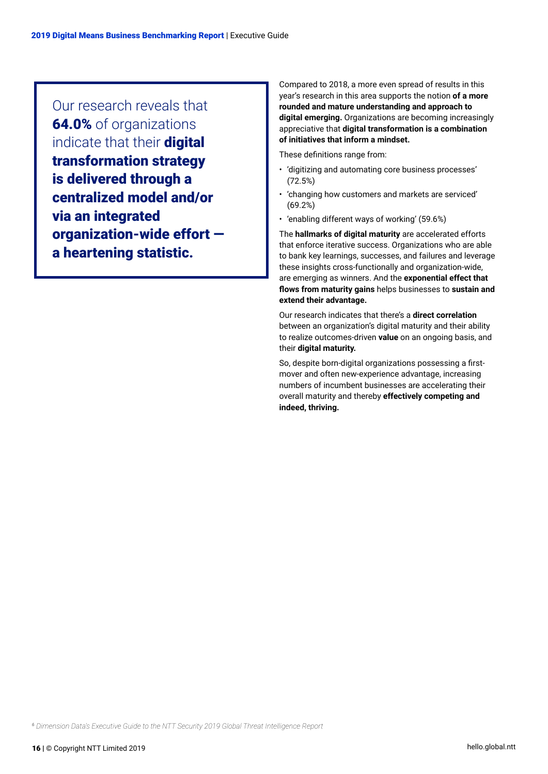Our research reveals that 64.0% of organizations indicate that their digital transformation strategy is delivered through a centralized model and/or via an integrated organization-wide effort a heartening statistic.

Compared to 2018, a more even spread of results in this year's research in this area supports the notion **of a more rounded and mature understanding and approach to digital emerging.** Organizations are becoming increasingly appreciative that **digital transformation is a combination of initiatives that inform a mindset.** 

These definitions range from:

- 'digitizing and automating core business processes' (72.5%)
- 'changing how customers and markets are serviced' (69.2%)
- 'enabling different ways of working' (59.6%)

The **hallmarks of digital maturity** are accelerated efforts that enforce iterative success. Organizations who are able to bank key learnings, successes, and failures and leverage these insights cross-functionally and organization-wide, are emerging as winners. And the **exponential effect that flows from maturity gains** helps businesses to **sustain and extend their advantage.**

Our research indicates that there's a **direct correlation** between an organization's digital maturity and their ability to realize outcomes-driven **value** on an ongoing basis, and their **digital maturity.**

So, despite born-digital organizations possessing a firstmover and often new-experience advantage, increasing numbers of incumbent businesses are accelerating their overall maturity and thereby **effectively competing and indeed, thriving.**

*<sup>6</sup> [Dimension Data's Executive Guide to the NTT Security 2019 Global Threat Intelligence Report](https://www.dimensiondata.com/en/insights/gtir2019)*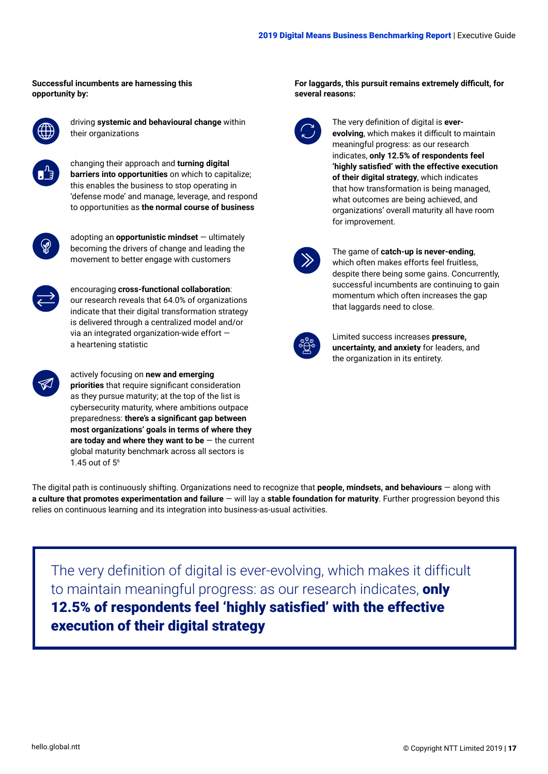#### **Successful incumbents are harnessing this opportunity by:**



driving **systemic and behavioural change** within their organizations



changing their approach and **turning digital barriers into opportunities** on which to capitalize; this enables the business to stop operating in 'defense mode' and manage, leverage, and respond to opportunities as **the normal course of business**



adopting an **opportunistic mindset** — ultimately becoming the drivers of change and leading the movement to better engage with customers



encouraging **cross-functional collaboration**: our research reveals that 64.0% of organizations indicate that their digital transformation strategy is delivered through a centralized model and/or via an integrated organization-wide effort a heartening statistic



actively focusing on **new and emerging priorities** that require significant consideration as they pursue maturity; at the top of the list is cybersecurity maturity, where ambitions outpace preparedness: **there's a significant gap between most organizations' goals in terms of where they are today and where they want to be** — the current global maturity benchmark across all sectors is 1.45 out of 56

#### **For laggards, this pursuit remains extremely difficult, for several reasons:**



The very definition of digital is **everevolving**, which makes it difficult to maintain meaningful progress: as our research indicates, **only 12.5% of respondents feel 'highly satisfied' with the effective execution of their digital strategy**, which indicates that how transformation is being managed, what outcomes are being achieved, and organizations' overall maturity all have room for improvement.

#### The game of **catch-up is never-ending**,

which often makes efforts feel fruitless, despite there being some gains. Concurrently, successful incumbents are continuing to gain momentum which often increases the gap that laggards need to close.



Limited success increases **pressure, uncertainty, and anxiety** for leaders, and the organization in its entirety.

The digital path is continuously shifting. Organizations need to recognize that **people, mindsets, and behaviours** — along with **a culture that promotes experimentation and failure** — will lay a **stable foundation for maturity**. Further progression beyond this relies on continuous learning and its integration into business-as-usual activities.

The very definition of digital is ever-evolving, which makes it difficult to maintain meaningful progress: as our research indicates, only 12.5% of respondents feel 'highly satisfied' with the effective execution of their digital strategy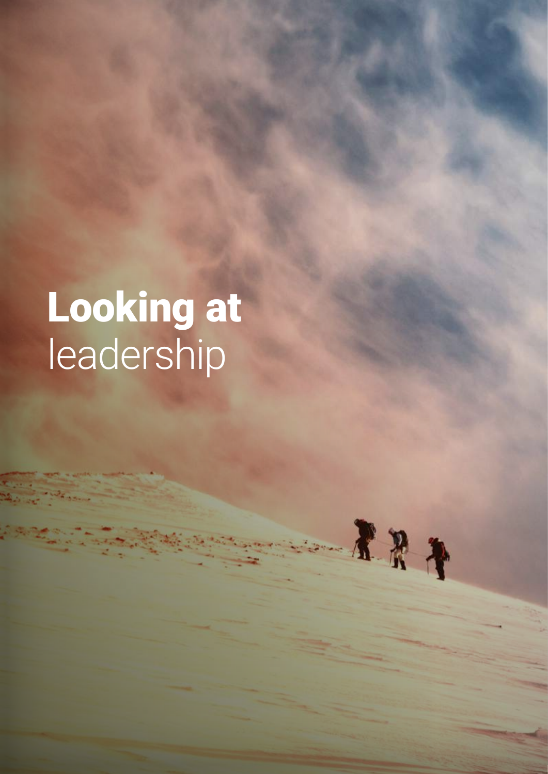# Looking at leadership

 $45.$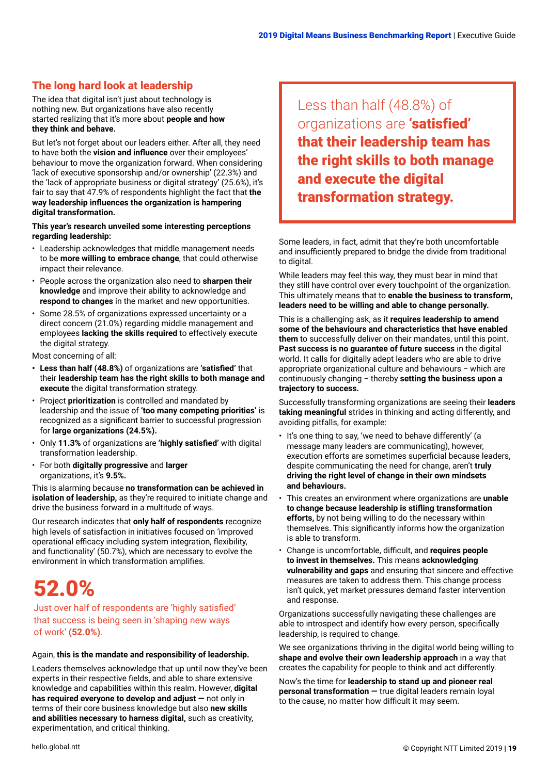### <span id="page-18-0"></span>The long hard look at leadership

The idea that digital isn't just about technology is nothing new. But organizations have also recently started realizing that it's more about **people and how they think and behave.**

But let's not forget about our leaders either. After all, they need to have both the **vision and influence** over their employees' behaviour to move the organization forward. When considering 'lack of executive sponsorship and/or ownership' (22.3%) and the 'lack of appropriate business or digital strategy' (25.6%), it's fair to say that 47.9% of respondents highlight the fact that **the way leadership influences the organization is hampering digital transformation.** 

#### **This year's research unveiled some interesting perceptions regarding leadership:**

- Leadership acknowledges that middle management needs to be **more willing to embrace change**, that could otherwise impact their relevance.
- People across the organization also need to **sharpen their knowledge** and improve their ability to acknowledge and **respond to changes** in the market and new opportunities.
- Some 28.5% of organizations expressed uncertainty or a direct concern (21.0%) regarding middle management and employees **lacking the skills required** to effectively execute the digital strategy.

Most concerning of all:

- **• Less than half (48.8%)** of organizations are **'satisfied'** that their **leadership team has the right skills to both manage and execute** the digital transformation strategy.
- Project **prioritization** is controlled and mandated by leadership and the issue of **'too many competing priorities'** is recognized as a significant barrier to successful progression for **large organizations (24.5%).**
- Only **11.3%** of organizations are **'highly satisfied'** with digital transformation leadership.
- For both **digitally progressive** and **larger** organizations, it's **9.5%.**

This is alarming because **no transformation can be achieved in isolation of leadership,** as they're required to initiate change and drive the business forward in a multitude of ways.

Our research indicates that **only half of respondents** recognize high levels of satisfaction in initiatives focused on 'improved operational efficacy including system integration, flexibility, and functionality' (50.7%), which are necessary to evolve the environment in which transformation amplifies.

# 52.0%

Just over half of respondents are 'highly satisfied' that success is being seen in 'shaping new ways of work' **(52.0%)**.

#### Again, **this is the mandate and responsibility of leadership.**

Leaders themselves acknowledge that up until now they've been experts in their respective fields, and able to share extensive knowledge and capabilities within this realm. However, **digital has required everyone to develop and adjust —** not only in terms of their core business knowledge but also **new skills and abilities necessary to harness digital,** such as creativity, experimentation, and critical thinking.

Less than half (48.8%) of organizations are 'satisfied' that their leadership team has the right skills to both manage and execute the digital transformation strategy.

Some leaders, in fact, admit that they're both uncomfortable and insufficiently prepared to bridge the divide from traditional to digital.

While leaders may feel this way, they must bear in mind that they still have control over every touchpoint of the organization. This ultimately means that to **enable the business to transform, leaders need to be willing and able to change personally***.* 

This is a challenging ask, as it **requires leadership to amend some of the behaviours and characteristics that have enabled them** to successfully deliver on their mandates, until this point. **Past success is no guarantee of future success** in the digital world. It calls for digitally adept leaders who are able to drive appropriate organizational culture and behaviours − which are continuously changing − thereby **setting the business upon a trajectory to success.** 

Successfully transforming organizations are seeing their **leaders taking meaningful** strides in thinking and acting differently, and avoiding pitfalls, for example:

- It's one thing to say, 'we need to behave differently' (a message many leaders are communicating), however, execution efforts are sometimes superficial because leaders, despite communicating the need for change, aren't **truly driving the right level of change in their own mindsets and behaviours.**
- This creates an environment where organizations are **unable to change because leadership is stifling transformation efforts,** by not being willing to do the necessary within themselves. This significantly informs how the organization is able to transform.
- Change is uncomfortable, difficult, and **requires people to invest in themselves.** This means **acknowledging vulnerability and gaps** and ensuring that sincere and effective measures are taken to address them. This change process isn't quick, yet market pressures demand faster intervention and response.

Organizations successfully navigating these challenges are able to introspect and identify how every person, specifically leadership, is required to change.

We see organizations thriving in the digital world being willing to **shape and evolve their own leadership approach** in a way that creates the capability for people to think and act differently.

Now's the time for **leadership to stand up and pioneer real personal transformation —** true digital leaders remain loyal to the cause, no matter how difficult it may seem.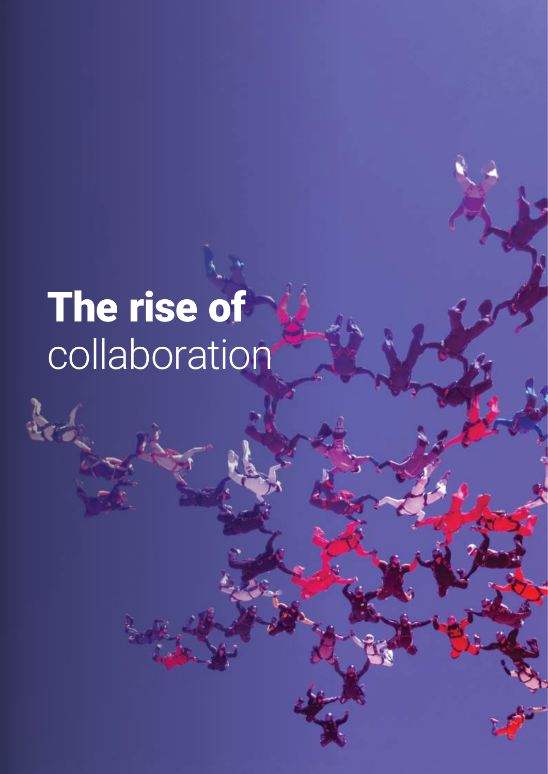# The rise of **collaboration**

 $\mathbf{k}$ 

20 | © Copyright NTT Limited 2019 [hello.global.ntt](https://www.hello.global.ntt/en-us/insights/digital-means-business-report/)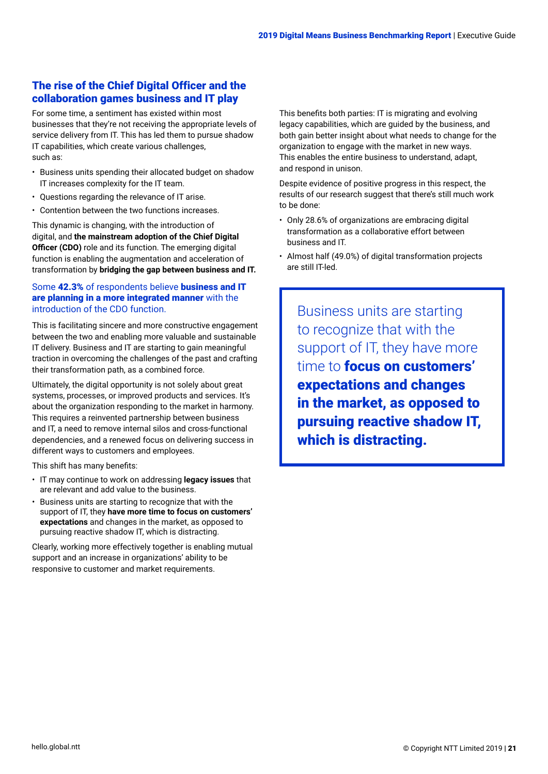### <span id="page-20-0"></span>The rise of the Chief Digital Officer and the collaboration games business and IT play

For some time, a sentiment has existed within most businesses that they're not receiving the appropriate levels of service delivery from IT. This has led them to pursue shadow IT capabilities, which create various challenges, such as:

- Business units spending their allocated budget on shadow IT increases complexity for the IT team.
- Questions regarding the relevance of IT arise.
- Contention between the two functions increases.

This dynamic is changing, with the introduction of digital, and **the mainstream adoption of the Chief Digital Officer (CDO)** role and its function. The emerging digital function is enabling the augmentation and acceleration of transformation by **bridging the gap between business and IT.** 

#### Some 42.3% of respondents believe business and IT are planning in a more integrated manner with the introduction of the CDO function.

This is facilitating sincere and more constructive engagement between the two and enabling more valuable and sustainable IT delivery. Business and IT are starting to gain meaningful traction in overcoming the challenges of the past and crafting their transformation path, as a combined force.

Ultimately, the digital opportunity is not solely about great systems, processes, or improved products and services. It's about the organization responding to the market in harmony. This requires a reinvented partnership between business and IT, a need to remove internal silos and cross-functional dependencies, and a renewed focus on delivering success in different ways to customers and employees.

This shift has many benefits:

- IT may continue to work on addressing **legacy issues** that are relevant and add value to the business.
- Business units are starting to recognize that with the support of IT, they **have more time to focus on customers' expectations** and changes in the market, as opposed to pursuing reactive shadow IT, which is distracting.

Clearly, working more effectively together is enabling mutual support and an increase in organizations' ability to be responsive to customer and market requirements.

This benefits both parties: IT is migrating and evolving legacy capabilities, which are guided by the business, and both gain better insight about what needs to change for the organization to engage with the market in new ways. This enables the entire business to understand, adapt, and respond in unison.

Despite evidence of positive progress in this respect, the results of our research suggest that there's still much work to be done:

- Only 28.6% of organizations are embracing digital transformation as a collaborative effort between business and IT.
- Almost half (49.0%) of digital transformation projects are still IT-led.

Business units are starting to recognize that with the support of IT, they have more time to **focus on customers'** expectations and changes in the market, as opposed to pursuing reactive shadow IT, which is distracting.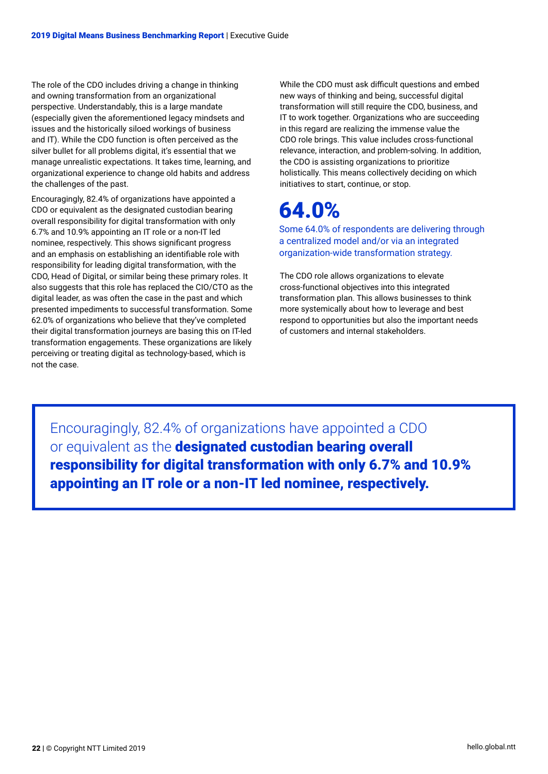The role of the CDO includes driving a change in thinking and owning transformation from an organizational perspective. Understandably, this is a large mandate (especially given the aforementioned legacy mindsets and issues and the historically siloed workings of business and IT). While the CDO function is often perceived as the silver bullet for all problems digital, it's essential that we manage unrealistic expectations. It takes time, learning, and organizational experience to change old habits and address the challenges of the past.

Encouragingly, 82.4% of organizations have appointed a CDO or equivalent as the designated custodian bearing overall responsibility for digital transformation with only 6.7% and 10.9% appointing an IT role or a non-IT led nominee, respectively. This shows significant progress and an emphasis on establishing an identifiable role with responsibility for leading digital transformation, with the CDO, Head of Digital, or similar being these primary roles. It also suggests that this role has replaced the CIO/CTO as the digital leader, as was often the case in the past and which presented impediments to successful transformation. Some 62.0% of organizations who believe that they've completed their digital transformation journeys are basing this on IT-led transformation engagements. These organizations are likely perceiving or treating digital as technology-based, which is not the case.

While the CDO must ask difficult questions and embed new ways of thinking and being, successful digital transformation will still require the CDO, business, and IT to work together. Organizations who are succeeding in this regard are realizing the immense value the CDO role brings. This value includes cross-functional relevance, interaction, and problem-solving. In addition, the CDO is assisting organizations to prioritize holistically. This means collectively deciding on which initiatives to start, continue, or stop.

# 64.0%

Some 64.0% of respondents are delivering through a centralized model and/or via an integrated organization-wide transformation strategy.

The CDO role allows organizations to elevate cross-functional objectives into this integrated transformation plan. This allows businesses to think more systemically about how to leverage and best respond to opportunities but also the important needs of customers and internal stakeholders.

Encouragingly, 82.4% of organizations have appointed a CDO or equivalent as the designated custodian bearing overall responsibility for digital transformation with only 6.7% and 10.9% appointing an IT role or a non-IT led nominee, respectively.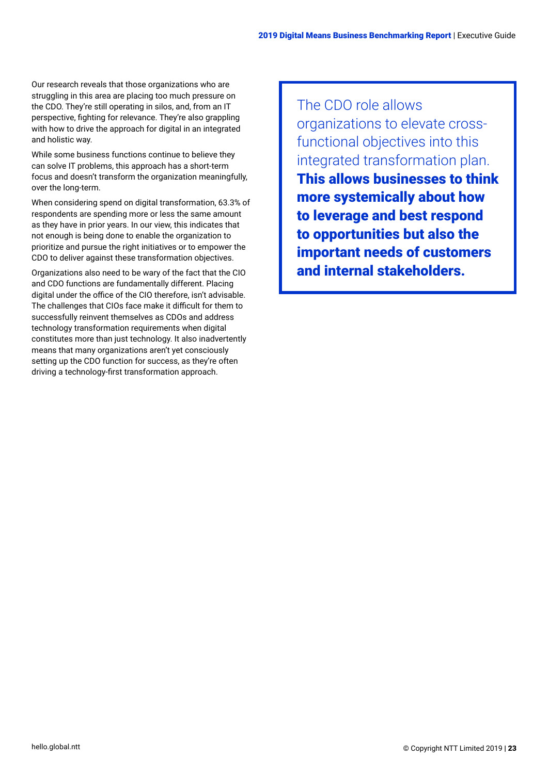Our research reveals that those organizations who are struggling in this area are placing too much pressure on the CDO. They're still operating in silos, and, from an IT perspective, fighting for relevance. They're also grappling with how to drive the approach for digital in an integrated and holistic way.

While some business functions continue to believe they can solve IT problems, this approach has a short-term focus and doesn't transform the organization meaningfully, over the long-term.

When considering spend on digital transformation, 63.3% of respondents are spending more or less the same amount as they have in prior years. In our view, this indicates that not enough is being done to enable the organization to prioritize and pursue the right initiatives or to empower the CDO to deliver against these transformation objectives.

Organizations also need to be wary of the fact that the CIO and CDO functions are fundamentally different. Placing digital under the office of the CIO therefore, isn't advisable. The challenges that CIOs face make it difficult for them to successfully reinvent themselves as CDOs and address technology transformation requirements when digital constitutes more than just technology. It also inadvertently means that many organizations aren't yet consciously setting up the CDO function for success, as they're often driving a technology-first transformation approach.

The CDO role allows organizations to elevate crossfunctional objectives into this integrated transformation plan. This allows businesses to think more systemically about how to leverage and best respond to opportunities but also the important needs of customers and internal stakeholders.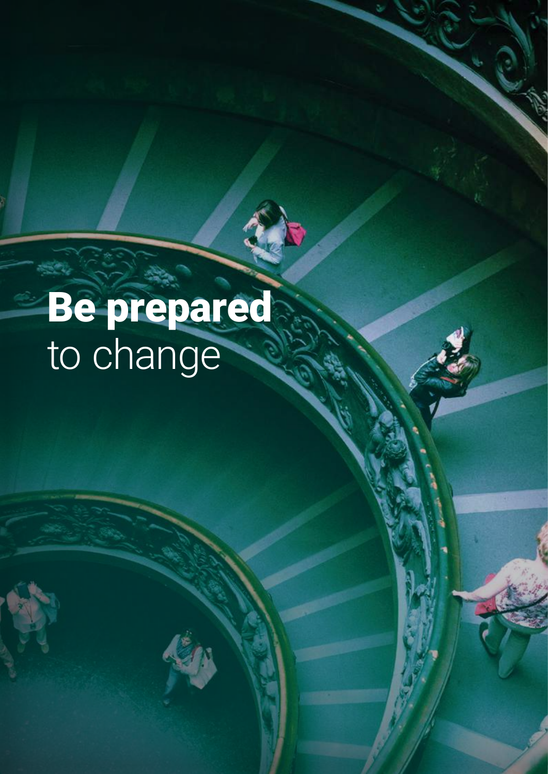# Be prepared to change

24 | © Copyright NTT Limited 2019 [hello.global.ntt](https://www.hello.global.ntt/en-us/insights/digital-means-business-report/)

Ñ

ý,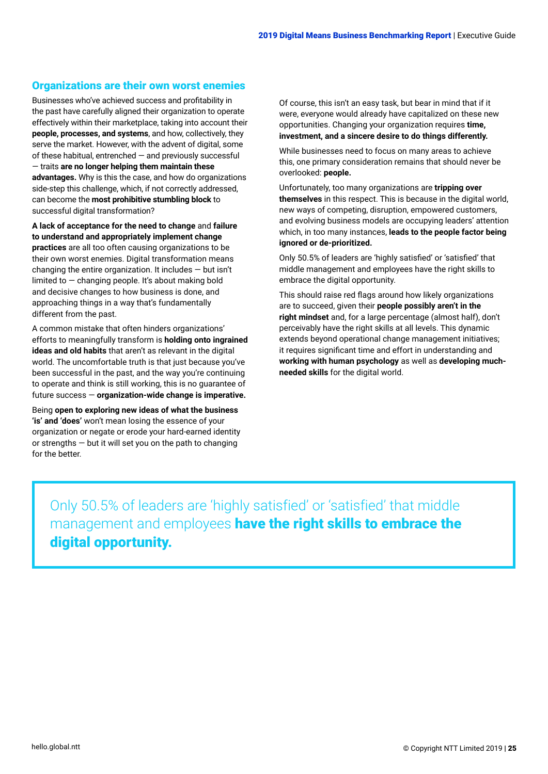#### <span id="page-24-0"></span>Organizations are their own worst enemies

Businesses who've achieved success and profitability in the past have carefully aligned their organization to operate effectively within their marketplace, taking into account their **people, processes, and systems**, and how, collectively, they serve the market. However, with the advent of digital, some of these habitual, entrenched — and previously successful — traits **are no longer helping them maintain these advantages.** Why is this the case, and how do organizations side-step this challenge, which, if not correctly addressed, can become the **most prohibitive stumbling block** to successful digital transformation?

**A lack of acceptance for the need to change** and **failure to understand and appropriately implement change practices** are all too often causing organizations to be their own worst enemies. Digital transformation means changing the entire organization. It includes  $-$  but isn't limited to  $-$  changing people. It's about making bold and decisive changes to how business is done, and approaching things in a way that's fundamentally different from the past.

A common mistake that often hinders organizations' efforts to meaningfully transform is **holding onto ingrained ideas and old habits** that aren't as relevant in the digital world. The uncomfortable truth is that just because you've been successful in the past, and the way you're continuing to operate and think is still working, this is no guarantee of future success — **organization-wide change is imperative.**

Being **open to exploring new ideas of what the business 'is' and 'does'** won't mean losing the essence of your organization or negate or erode your hard-earned identity or strengths — but it will set you on the path to changing for the better.

Of course, this isn't an easy task, but bear in mind that if it were, everyone would already have capitalized on these new opportunities. Changing your organization requires **time, investment, and a sincere desire to do things differently.**

While businesses need to focus on many areas to achieve this, one primary consideration remains that should never be overlooked: **people.**

Unfortunately, too many organizations are **tripping over themselves** in this respect. This is because in the digital world, new ways of competing, disruption, empowered customers, and evolving business models are occupying leaders' attention which, in too many instances, **leads to the people factor being ignored or de-prioritized.**

Only 50.5% of leaders are 'highly satisfied' or 'satisfied' that middle management and employees have the right skills to embrace the digital opportunity.

This should raise red flags around how likely organizations are to succeed, given their **people possibly aren't in the right mindset** and, for a large percentage (almost half), don't perceivably have the right skills at all levels. This dynamic extends beyond operational change management initiatives; it requires significant time and effort in understanding and **working with human psychology** as well as **developing muchneeded skills** for the digital world.

Only 50.5% of leaders are 'highly satisfied' or 'satisfied' that middle management and employees have the right skills to embrace the digital opportunity.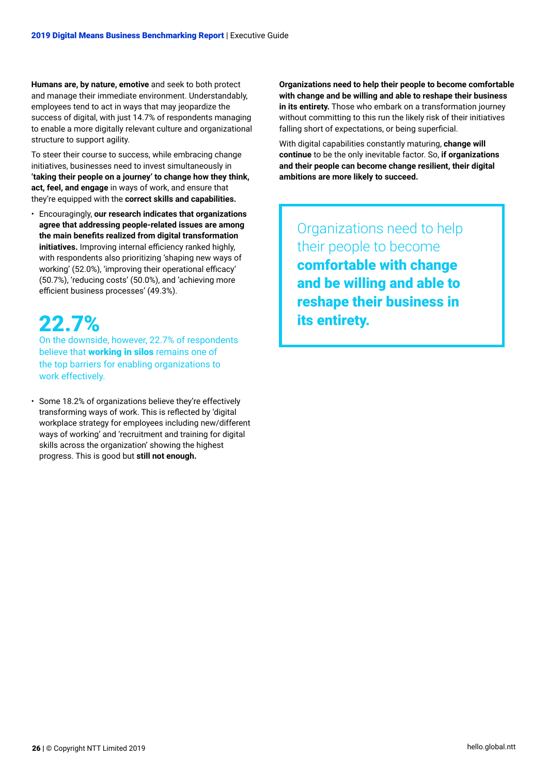**Humans are, by nature, emotive** and seek to both protect and manage their immediate environment. Understandably, employees tend to act in ways that may jeopardize the success of digital, with just 14.7% of respondents managing to enable a more digitally relevant culture and organizational structure to support agility.

To steer their course to success, while embracing change initiatives, businesses need to invest simultaneously in **'taking their people on a journey' to change how they think, act, feel, and engage** in ways of work, and ensure that they're equipped with the **correct skills and capabilities.**

• Encouragingly, **our research indicates that organizations agree that addressing people-related issues are among the main benefits realized from digital transformation initiatives.** Improving internal efficiency ranked highly, with respondents also prioritizing 'shaping new ways of working' (52.0%), 'improving their operational efficacy' (50.7%), 'reducing costs' (50.0%), and 'achieving more efficient business processes' (49.3%).

## 22.7%

On the downside, however, 22.7% of respondents believe that **working in silos** remains one of the top barriers for enabling organizations to work effectively.

• Some 18.2% of organizations believe they're effectively transforming ways of work. This is reflected by 'digital workplace strategy for employees including new/different ways of working' and 'recruitment and training for digital skills across the organization' showing the highest progress. This is good but **still not enough.**

**Organizations need to help their people to become comfortable with change and be willing and able to reshape their business in its entirety.** Those who embark on a transformation journey without committing to this run the likely risk of their initiatives falling short of expectations, or being superficial.

With digital capabilities constantly maturing, **change will continue** to be the only inevitable factor. So, **if organizations and their people can become change resilient, their digital ambitions are more likely to succeed.** 

Organizations need to help their people to become comfortable with change and be willing and able to reshape their business in its entirety.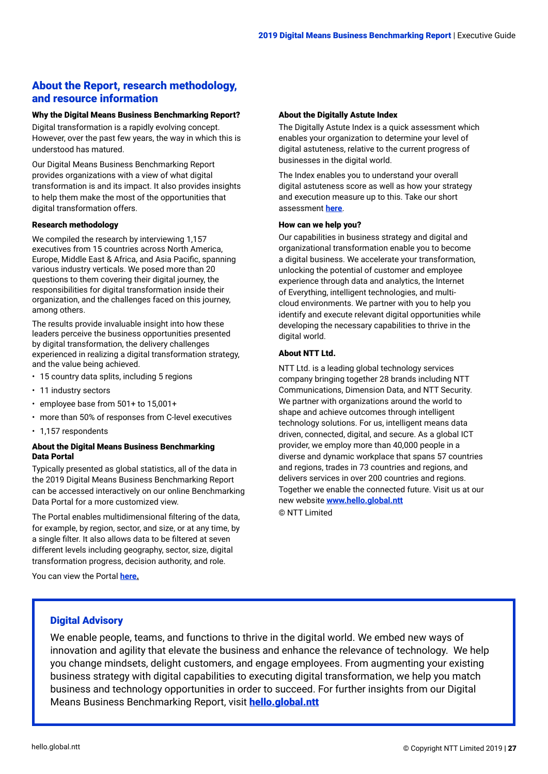### <span id="page-26-0"></span>About the Report, research methodology, and resource information

#### Why the Digital Means Business Benchmarking Report?

Digital transformation is a rapidly evolving concept. However, over the past few years, the way in which this is understood has matured.

Our Digital Means Business Benchmarking Report provides organizations with a view of what digital transformation is and its impact. It also provides insights to help them make the most of the opportunities that digital transformation offers.

#### Research methodology

We compiled the research by interviewing 1,157 executives from 15 countries across North America, Europe, Middle East & Africa, and Asia Pacific, spanning various industry verticals. We posed more than 20 questions to them covering their digital journey, the responsibilities for digital transformation inside their organization, and the challenges faced on this journey, among others.

The results provide invaluable insight into how these leaders perceive the business opportunities presented by digital transformation, the delivery challenges experienced in realizing a digital transformation strategy, and the value being achieved.

- 15 country data splits, including 5 regions
- 11 industry sectors
- employee base from 501+ to 15,001+
- more than 50% of responses from C-level executives
- 1,157 respondents

#### About the Digital Means Business Benchmarking Data Portal

Typically presented as global statistics, all of the data in the 2019 Digital Means Business Benchmarking Report can be accessed interactively on our online Benchmarking Data Portal for a more customized view.

The Portal enables multidimensional filtering of the data, for example, by region, sector, and size, or at any time, by a single filter. It also allows data to be filtered at seven different levels including geography, sector, size, digital transformation progress, decision authority, and role.

You can view the Portal **[here.](https://hello-global-ntt.insightnow.co.uk/2019/DMBportal/?trg=EXEC)**

#### About the Digitally Astute Index

The Digitally Astute Index is a quick assessment which enables your organization to determine your level of digital astuteness, relative to the current progress of businesses in the digital world.

The Index enables you to understand your overall digital astuteness score as well as how your strategy and execution measure up to this. Take our short assessment **[here](https://communication.hello.global.ntt/LP=1577)**.

#### How can we help you?

Our capabilities in business strategy and digital and organizational transformation enable you to become a digital business. We accelerate your transformation, unlocking the potential of customer and employee experience through data and analytics, the Internet of Everything, intelligent technologies, and multicloud environments. We partner with you to help you identify and execute relevant digital opportunities while developing the necessary capabilities to thrive in the digital world.

#### About NTT Ltd.

NTT Ltd. is a leading global technology services company bringing together 28 brands including NTT Communications, Dimension Data, and NTT Security. We partner with organizations around the world to shape and achieve outcomes through intelligent technology solutions. For us, intelligent means data driven, connected, digital, and secure. As a global ICT provider, we employ more than 40,000 people in a diverse and dynamic workplace that spans 57 countries and regions, trades in 73 countries and regions, and delivers services in over 200 countries and regions. Together we enable the connected future. Visit us at our new website **[www.hello.global.ntt](https://hello.global.ntt/)**

© NTT Limited

#### Digital Advisory

We enable people, teams, and functions to thrive in the digital world. We embed new ways of innovation and agility that elevate the business and enhance the relevance of technology. We help you change mindsets, delight customers, and engage employees. From augmenting your existing business strategy with digital capabilities to executing digital transformation, we help you match business and technology opportunities in order to succeed. For further insights from our Digital Means Business Benchmarking Report, visit **[hello.global.ntt](https://www.hello.global.ntt/en-us/insights/digital-means-business-report/)**